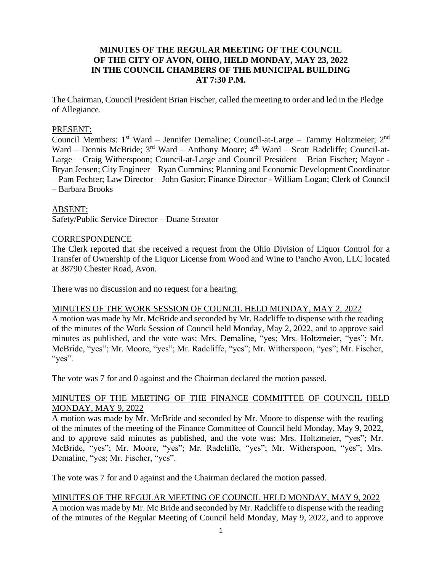# **MINUTES OF THE REGULAR MEETING OF THE COUNCIL OF THE CITY OF AVON, OHIO, HELD MONDAY, MAY 23, 2022 IN THE COUNCIL CHAMBERS OF THE MUNICIPAL BUILDING AT 7:30 P.M.**

The Chairman, Council President Brian Fischer, called the meeting to order and led in the Pledge of Allegiance.

#### PRESENT:

Council Members: 1<sup>st</sup> Ward - Jennifer Demaline; Council-at-Large - Tammy Holtzmeier; 2<sup>nd</sup> Ward – Dennis McBride; 3<sup>rd</sup> Ward – Anthony Moore; 4<sup>th</sup> Ward – Scott Radcliffe; Council-at-Large – Craig Witherspoon; Council-at-Large and Council President – Brian Fischer; Mayor - Bryan Jensen; City Engineer – Ryan Cummins; Planning and Economic Development Coordinator – Pam Fechter; Law Director – John Gasior; Finance Director - William Logan; Clerk of Council – Barbara Brooks

#### ABSENT:

Safety/Public Service Director – Duane Streator

#### **CORRESPONDENCE**

The Clerk reported that she received a request from the Ohio Division of Liquor Control for a Transfer of Ownership of the Liquor License from Wood and Wine to Pancho Avon, LLC located at 38790 Chester Road, Avon.

There was no discussion and no request for a hearing.

#### MINUTES OF THE WORK SESSION OF COUNCIL HELD MONDAY, MAY 2, 2022

A motion was made by Mr. McBride and seconded by Mr. Radcliffe to dispense with the reading of the minutes of the Work Session of Council held Monday, May 2, 2022, and to approve said minutes as published, and the vote was: Mrs. Demaline, "yes; Mrs. Holtzmeier, "yes"; Mr. McBride, "yes"; Mr. Moore, "yes"; Mr. Radcliffe, "yes"; Mr. Witherspoon, "yes"; Mr. Fischer, "yes".

The vote was 7 for and 0 against and the Chairman declared the motion passed.

#### MINUTES OF THE MEETING OF THE FINANCE COMMITTEE OF COUNCIL HELD MONDAY, MAY 9, 2022

A motion was made by Mr. McBride and seconded by Mr. Moore to dispense with the reading of the minutes of the meeting of the Finance Committee of Council held Monday, May 9, 2022, and to approve said minutes as published, and the vote was: Mrs. Holtzmeier, "yes"; Mr. McBride, "yes"; Mr. Moore, "yes"; Mr. Radcliffe, "yes"; Mr. Witherspoon, "yes"; Mrs. Demaline, "yes; Mr. Fischer, "yes".

The vote was 7 for and 0 against and the Chairman declared the motion passed.

# MINUTES OF THE REGULAR MEETING OF COUNCIL HELD MONDAY, MAY 9, 2022

A motion was made by Mr. Mc Bride and seconded by Mr. Radcliffe to dispense with the reading of the minutes of the Regular Meeting of Council held Monday, May 9, 2022, and to approve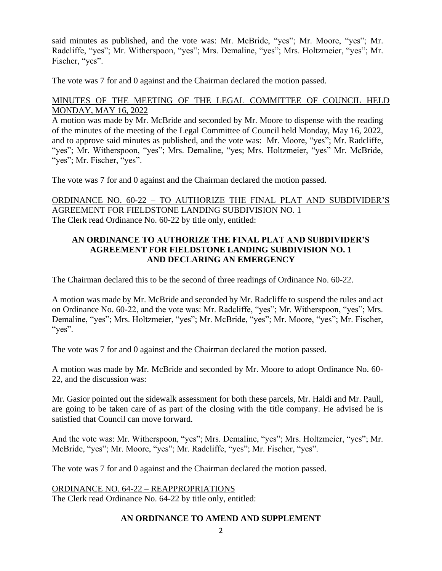said minutes as published, and the vote was: Mr. McBride, "yes"; Mr. Moore, "yes"; Mr. Radcliffe, "yes"; Mr. Witherspoon, "yes"; Mrs. Demaline, "yes"; Mrs. Holtzmeier, "yes"; Mr. Fischer, "yes".

The vote was 7 for and 0 against and the Chairman declared the motion passed.

# MINUTES OF THE MEETING OF THE LEGAL COMMITTEE OF COUNCIL HELD MONDAY, MAY 16, 2022

A motion was made by Mr. McBride and seconded by Mr. Moore to dispense with the reading of the minutes of the meeting of the Legal Committee of Council held Monday, May 16, 2022, and to approve said minutes as published, and the vote was: Mr. Moore, "yes"; Mr. Radcliffe, "yes"; Mr. Witherspoon, "yes"; Mrs. Demaline, "yes; Mrs. Holtzmeier, "yes" Mr. McBride, "yes"; Mr. Fischer, "yes".

The vote was 7 for and 0 against and the Chairman declared the motion passed.

ORDINANCE NO. 60-22 – TO AUTHORIZE THE FINAL PLAT AND SUBDIVIDER'S AGREEMENT FOR FIELDSTONE LANDING SUBDIVISION NO. 1 The Clerk read Ordinance No. 60-22 by title only, entitled:

## **AN ORDINANCE TO AUTHORIZE THE FINAL PLAT AND SUBDIVIDER'S AGREEMENT FOR FIELDSTONE LANDING SUBDIVISION NO. 1 AND DECLARING AN EMERGENCY**

The Chairman declared this to be the second of three readings of Ordinance No. 60-22.

A motion was made by Mr. McBride and seconded by Mr. Radcliffe to suspend the rules and act on Ordinance No. 60-22, and the vote was: Mr. Radcliffe, "yes"; Mr. Witherspoon, "yes"; Mrs. Demaline, "yes"; Mrs. Holtzmeier, "yes"; Mr. McBride, "yes"; Mr. Moore, "yes"; Mr. Fischer, "yes".

The vote was 7 for and 0 against and the Chairman declared the motion passed.

A motion was made by Mr. McBride and seconded by Mr. Moore to adopt Ordinance No. 60- 22, and the discussion was:

Mr. Gasior pointed out the sidewalk assessment for both these parcels, Mr. Haldi and Mr. Paull, are going to be taken care of as part of the closing with the title company. He advised he is satisfied that Council can move forward.

And the vote was: Mr. Witherspoon, "yes"; Mrs. Demaline, "yes"; Mrs. Holtzmeier, "yes"; Mr. McBride, "yes"; Mr. Moore, "yes"; Mr. Radcliffe, "yes"; Mr. Fischer, "yes".

The vote was 7 for and 0 against and the Chairman declared the motion passed.

ORDINANCE NO. 64-22 – REAPPROPRIATIONS The Clerk read Ordinance No. 64-22 by title only, entitled:

# **AN ORDINANCE TO AMEND AND SUPPLEMENT**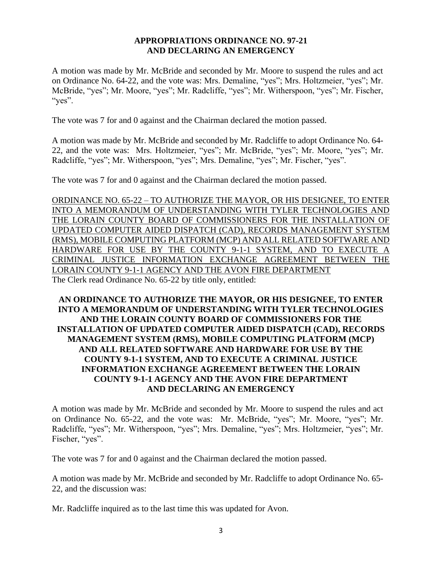#### **APPROPRIATIONS ORDINANCE NO. 97-21 AND DECLARING AN EMERGENCY**

A motion was made by Mr. McBride and seconded by Mr. Moore to suspend the rules and act on Ordinance No. 64-22, and the vote was: Mrs. Demaline, "yes"; Mrs. Holtzmeier, "yes"; Mr. McBride, "yes"; Mr. Moore, "yes"; Mr. Radcliffe, "yes"; Mr. Witherspoon, "yes"; Mr. Fischer, "yes".

The vote was 7 for and 0 against and the Chairman declared the motion passed.

A motion was made by Mr. McBride and seconded by Mr. Radcliffe to adopt Ordinance No. 64- 22, and the vote was: Mrs. Holtzmeier, "yes"; Mr. McBride, "yes"; Mr. Moore, "yes"; Mr. Radcliffe, "yes"; Mr. Witherspoon, "yes"; Mrs. Demaline, "yes"; Mr. Fischer, "yes".

The vote was 7 for and 0 against and the Chairman declared the motion passed.

ORDINANCE NO. 65-22 – TO AUTHORIZE THE MAYOR, OR HIS DESIGNEE, TO ENTER INTO A MEMORANDUM OF UNDERSTANDING WITH TYLER TECHNOLOGIES AND THE LORAIN COUNTY BOARD OF COMMISSIONERS FOR THE INSTALLATION OF UPDATED COMPUTER AIDED DISPATCH (CAD), RECORDS MANAGEMENT SYSTEM (RMS), MOBILE COMPUTING PLATFORM (MCP) AND ALL RELATED SOFTWARE AND HARDWARE FOR USE BY THE COUNTY 9-1-1 SYSTEM, AND TO EXECUTE A CRIMINAL JUSTICE INFORMATION EXCHANGE AGREEMENT BETWEEN THE LORAIN COUNTY 9-1-1 AGENCY AND THE AVON FIRE DEPARTMENT The Clerk read Ordinance No. 65-22 by title only, entitled:

# **AN ORDINANCE TO AUTHORIZE THE MAYOR, OR HIS DESIGNEE, TO ENTER INTO A MEMORANDUM OF UNDERSTANDING WITH TYLER TECHNOLOGIES AND THE LORAIN COUNTY BOARD OF COMMISSIONERS FOR THE INSTALLATION OF UPDATED COMPUTER AIDED DISPATCH (CAD), RECORDS MANAGEMENT SYSTEM (RMS), MOBILE COMPUTING PLATFORM (MCP) AND ALL RELATED SOFTWARE AND HARDWARE FOR USE BY THE COUNTY 9-1-1 SYSTEM, AND TO EXECUTE A CRIMINAL JUSTICE INFORMATION EXCHANGE AGREEMENT BETWEEN THE LORAIN COUNTY 9-1-1 AGENCY AND THE AVON FIRE DEPARTMENT AND DECLARING AN EMERGENCY**

A motion was made by Mr. McBride and seconded by Mr. Moore to suspend the rules and act on Ordinance No. 65-22, and the vote was: Mr. McBride, "yes"; Mr. Moore, "yes"; Mr. Radcliffe, "yes"; Mr. Witherspoon, "yes"; Mrs. Demaline, "yes"; Mrs. Holtzmeier, "yes"; Mr. Fischer, "yes".

The vote was 7 for and 0 against and the Chairman declared the motion passed.

A motion was made by Mr. McBride and seconded by Mr. Radcliffe to adopt Ordinance No. 65- 22, and the discussion was:

Mr. Radcliffe inquired as to the last time this was updated for Avon.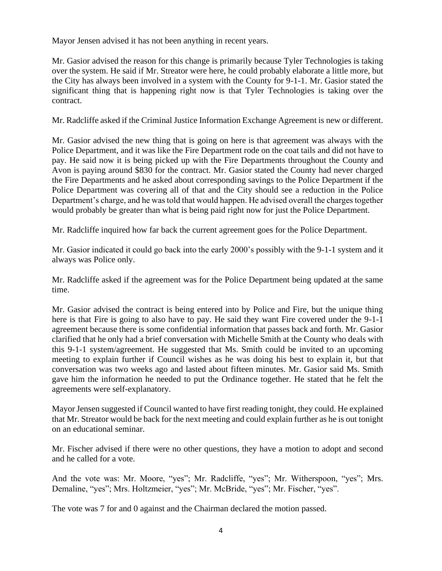Mayor Jensen advised it has not been anything in recent years.

Mr. Gasior advised the reason for this change is primarily because Tyler Technologies is taking over the system. He said if Mr. Streator were here, he could probably elaborate a little more, but the City has always been involved in a system with the County for 9-1-1. Mr. Gasior stated the significant thing that is happening right now is that Tyler Technologies is taking over the contract.

Mr. Radcliffe asked if the Criminal Justice Information Exchange Agreement is new or different.

Mr. Gasior advised the new thing that is going on here is that agreement was always with the Police Department, and it was like the Fire Department rode on the coat tails and did not have to pay. He said now it is being picked up with the Fire Departments throughout the County and Avon is paying around \$830 for the contract. Mr. Gasior stated the County had never charged the Fire Departments and he asked about corresponding savings to the Police Department if the Police Department was covering all of that and the City should see a reduction in the Police Department's charge, and he was told that would happen. He advised overall the charges together would probably be greater than what is being paid right now for just the Police Department.

Mr. Radcliffe inquired how far back the current agreement goes for the Police Department.

Mr. Gasior indicated it could go back into the early 2000's possibly with the 9-1-1 system and it always was Police only.

Mr. Radcliffe asked if the agreement was for the Police Department being updated at the same time.

Mr. Gasior advised the contract is being entered into by Police and Fire, but the unique thing here is that Fire is going to also have to pay. He said they want Fire covered under the 9-1-1 agreement because there is some confidential information that passes back and forth. Mr. Gasior clarified that he only had a brief conversation with Michelle Smith at the County who deals with this 9-1-1 system/agreement. He suggested that Ms. Smith could be invited to an upcoming meeting to explain further if Council wishes as he was doing his best to explain it, but that conversation was two weeks ago and lasted about fifteen minutes. Mr. Gasior said Ms. Smith gave him the information he needed to put the Ordinance together. He stated that he felt the agreements were self-explanatory.

Mayor Jensen suggested if Council wanted to have first reading tonight, they could. He explained that Mr. Streator would be back for the next meeting and could explain further as he is out tonight on an educational seminar.

Mr. Fischer advised if there were no other questions, they have a motion to adopt and second and he called for a vote.

And the vote was: Mr. Moore, "yes"; Mr. Radcliffe, "yes"; Mr. Witherspoon, "yes"; Mrs. Demaline, "yes"; Mrs. Holtzmeier, "yes"; Mr. McBride, "yes"; Mr. Fischer, "yes".

The vote was 7 for and 0 against and the Chairman declared the motion passed.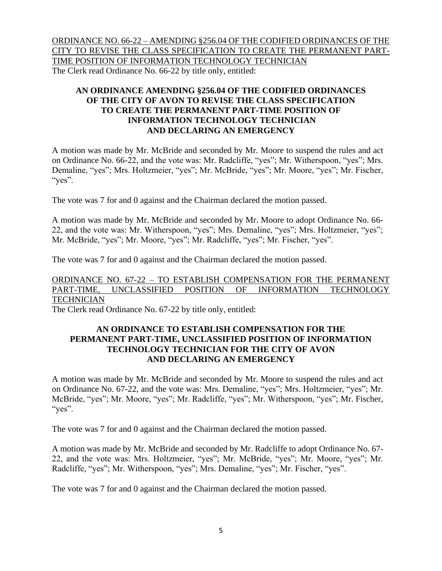ORDINANCE NO. 66-22 – AMENDING §256.04 OF THE CODIFIED ORDINANCES OF THE CITY TO REVISE THE CLASS SPECIFICATION TO CREATE THE PERMANENT PART-TIME POSITION OF INFORMATION TECHNOLOGY TECHNICIAN The Clerk read Ordinance No. 66-22 by title only, entitled:

# **AN ORDINANCE AMENDING §256.04 OF THE CODIFIED ORDINANCES OF THE CITY OF AVON TO REVISE THE CLASS SPECIFICATION TO CREATE THE PERMANENT PART-TIME POSITION OF INFORMATION TECHNOLOGY TECHNICIAN AND DECLARING AN EMERGENCY**

A motion was made by Mr. McBride and seconded by Mr. Moore to suspend the rules and act on Ordinance No. 66-22, and the vote was: Mr. Radcliffe, "yes"; Mr. Witherspoon, "yes"; Mrs. Demaline, "yes"; Mrs. Holtzmeier, "yes"; Mr. McBride, "yes"; Mr. Moore, "yes"; Mr. Fischer, "yes".

The vote was 7 for and 0 against and the Chairman declared the motion passed.

A motion was made by Mr. McBride and seconded by Mr. Moore to adopt Ordinance No. 66- 22, and the vote was: Mr. Witherspoon, "yes"; Mrs. Demaline, "yes"; Mrs. Holtzmeier, "yes"; Mr. McBride, "yes"; Mr. Moore, "yes"; Mr. Radcliffe, "yes"; Mr. Fischer, "yes".

The vote was 7 for and 0 against and the Chairman declared the motion passed.

# ORDINANCE NO. 67-22 – TO ESTABLISH COMPENSATION FOR THE PERMANENT PART-TIME, UNCLASSIFIED POSITION OF INFORMATION TECHNOLOGY **TECHNICIAN**

The Clerk read Ordinance No. 67-22 by title only, entitled:

## **AN ORDINANCE TO ESTABLISH COMPENSATION FOR THE PERMANENT PART-TIME, UNCLASSIFIED POSITION OF INFORMATION TECHNOLOGY TECHNICIAN FOR THE CITY OF AVON AND DECLARING AN EMERGENCY**

A motion was made by Mr. McBride and seconded by Mr. Moore to suspend the rules and act on Ordinance No. 67-22, and the vote was: Mrs. Demaline, "yes"; Mrs. Holtzmeier, "yes"; Mr. McBride, "yes"; Mr. Moore, "yes"; Mr. Radcliffe, "yes"; Mr. Witherspoon, "yes"; Mr. Fischer, "yes".

The vote was 7 for and 0 against and the Chairman declared the motion passed.

A motion was made by Mr. McBride and seconded by Mr. Radcliffe to adopt Ordinance No. 67- 22, and the vote was: Mrs. Holtzmeier, "yes"; Mr. McBride, "yes"; Mr. Moore, "yes"; Mr. Radcliffe, "yes"; Mr. Witherspoon, "yes"; Mrs. Demaline, "yes"; Mr. Fischer, "yes".

The vote was 7 for and 0 against and the Chairman declared the motion passed.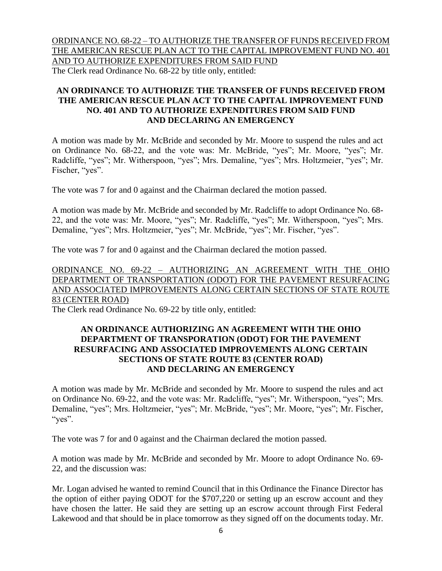ORDINANCE NO. 68-22 – TO AUTHORIZE THE TRANSFER OF FUNDS RECEIVED FROM THE AMERICAN RESCUE PLAN ACT TO THE CAPITAL IMPROVEMENT FUND NO. 401 AND TO AUTHORIZE EXPENDITURES FROM SAID FUND The Clerk read Ordinance No. 68-22 by title only, entitled:

# **AN ORDINANCE TO AUTHORIZE THE TRANSFER OF FUNDS RECEIVED FROM THE AMERICAN RESCUE PLAN ACT TO THE CAPITAL IMPROVEMENT FUND NO. 401 AND TO AUTHORIZE EXPENDITURES FROM SAID FUND AND DECLARING AN EMERGENCY**

A motion was made by Mr. McBride and seconded by Mr. Moore to suspend the rules and act on Ordinance No. 68-22, and the vote was: Mr. McBride, "yes"; Mr. Moore, "yes"; Mr. Radcliffe, "yes"; Mr. Witherspoon, "yes"; Mrs. Demaline, "yes"; Mrs. Holtzmeier, "yes"; Mr. Fischer, "yes".

The vote was 7 for and 0 against and the Chairman declared the motion passed.

A motion was made by Mr. McBride and seconded by Mr. Radcliffe to adopt Ordinance No. 68- 22, and the vote was: Mr. Moore, "yes"; Mr. Radcliffe, "yes"; Mr. Witherspoon, "yes"; Mrs. Demaline, "yes"; Mrs. Holtzmeier, "yes"; Mr. McBride, "yes"; Mr. Fischer, "yes".

The vote was 7 for and 0 against and the Chairman declared the motion passed.

# ORDINANCE NO. 69-22 – AUTHORIZING AN AGREEMENT WITH THE OHIO DEPARTMENT OF TRANSPORTATION (ODOT) FOR THE PAVEMENT RESURFACING AND ASSOCIATED IMPROVEMENTS ALONG CERTAIN SECTIONS OF STATE ROUTE 83 (CENTER ROAD)

The Clerk read Ordinance No. 69-22 by title only, entitled:

### **AN ORDINANCE AUTHORIZING AN AGREEMENT WITH THE OHIO DEPARTMENT OF TRANSPORATION (ODOT) FOR THE PAVEMENT RESURFACING AND ASSOCIATED IMPROVEMENTS ALONG CERTAIN SECTIONS OF STATE ROUTE 83 (CENTER ROAD) AND DECLARING AN EMERGENCY**

A motion was made by Mr. McBride and seconded by Mr. Moore to suspend the rules and act on Ordinance No. 69-22, and the vote was: Mr. Radcliffe, "yes"; Mr. Witherspoon, "yes"; Mrs. Demaline, "yes"; Mrs. Holtzmeier, "yes"; Mr. McBride, "yes"; Mr. Moore, "yes"; Mr. Fischer, "yes".

The vote was 7 for and 0 against and the Chairman declared the motion passed.

A motion was made by Mr. McBride and seconded by Mr. Moore to adopt Ordinance No. 69- 22, and the discussion was:

Mr. Logan advised he wanted to remind Council that in this Ordinance the Finance Director has the option of either paying ODOT for the \$707,220 or setting up an escrow account and they have chosen the latter. He said they are setting up an escrow account through First Federal Lakewood and that should be in place tomorrow as they signed off on the documents today. Mr.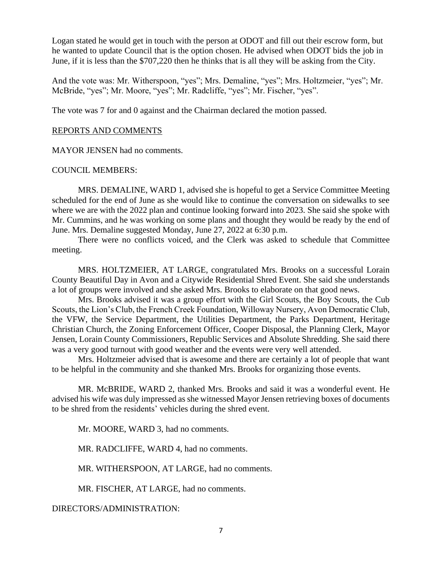Logan stated he would get in touch with the person at ODOT and fill out their escrow form, but he wanted to update Council that is the option chosen. He advised when ODOT bids the job in June, if it is less than the \$707,220 then he thinks that is all they will be asking from the City.

And the vote was: Mr. Witherspoon, "yes"; Mrs. Demaline, "yes"; Mrs. Holtzmeier, "yes"; Mr. McBride, "yes"; Mr. Moore, "yes"; Mr. Radcliffe, "yes"; Mr. Fischer, "yes".

The vote was 7 for and 0 against and the Chairman declared the motion passed.

#### REPORTS AND COMMENTS

MAYOR JENSEN had no comments.

#### COUNCIL MEMBERS:

MRS. DEMALINE, WARD 1, advised she is hopeful to get a Service Committee Meeting scheduled for the end of June as she would like to continue the conversation on sidewalks to see where we are with the 2022 plan and continue looking forward into 2023. She said she spoke with Mr. Cummins, and he was working on some plans and thought they would be ready by the end of June. Mrs. Demaline suggested Monday, June 27, 2022 at 6:30 p.m.

There were no conflicts voiced, and the Clerk was asked to schedule that Committee meeting.

MRS. HOLTZMEIER, AT LARGE, congratulated Mrs. Brooks on a successful Lorain County Beautiful Day in Avon and a Citywide Residential Shred Event. She said she understands a lot of groups were involved and she asked Mrs. Brooks to elaborate on that good news.

Mrs. Brooks advised it was a group effort with the Girl Scouts, the Boy Scouts, the Cub Scouts, the Lion's Club, the French Creek Foundation, Willoway Nursery, Avon Democratic Club, the VFW, the Service Department, the Utilities Department, the Parks Department, Heritage Christian Church, the Zoning Enforcement Officer, Cooper Disposal, the Planning Clerk, Mayor Jensen, Lorain County Commissioners, Republic Services and Absolute Shredding. She said there was a very good turnout with good weather and the events were very well attended.

Mrs. Holtzmeier advised that is awesome and there are certainly a lot of people that want to be helpful in the community and she thanked Mrs. Brooks for organizing those events.

MR. McBRIDE, WARD 2, thanked Mrs. Brooks and said it was a wonderful event. He advised his wife was duly impressed as she witnessed Mayor Jensen retrieving boxes of documents to be shred from the residents' vehicles during the shred event.

Mr. MOORE, WARD 3, had no comments.

MR. RADCLIFFE, WARD 4, had no comments.

MR. WITHERSPOON, AT LARGE, had no comments.

MR. FISCHER, AT LARGE, had no comments.

DIRECTORS/ADMINISTRATION: